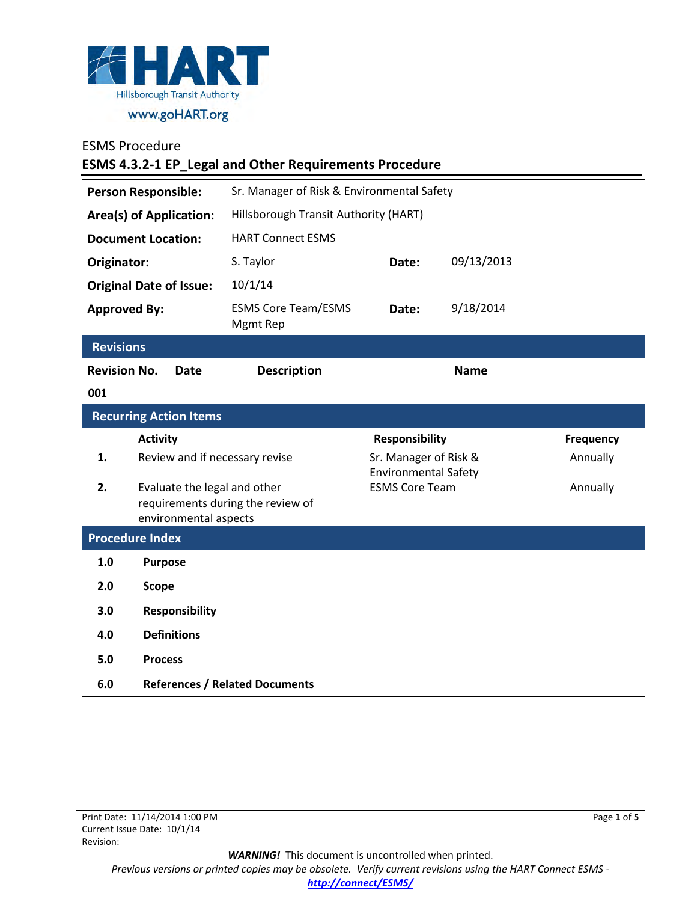

## ESMS Procedure

**ESMS 4.3.2-1 EP\_Legal and Other Requirements Procedure**

| <b>Person Responsible:</b>         |                                | Sr. Manager of Risk & Environmental Safety |                                                      |            |           |  |
|------------------------------------|--------------------------------|--------------------------------------------|------------------------------------------------------|------------|-----------|--|
| <b>Area(s) of Application:</b>     |                                | Hillsborough Transit Authority (HART)      |                                                      |            |           |  |
| <b>Document Location:</b>          |                                | <b>HART Connect ESMS</b>                   |                                                      |            |           |  |
| Originator:                        |                                | S. Taylor                                  | Date:                                                | 09/13/2013 |           |  |
| <b>Original Date of Issue:</b>     |                                | 10/1/14                                    |                                                      |            |           |  |
| <b>Approved By:</b>                |                                | <b>ESMS Core Team/ESMS</b><br>Mgmt Rep     | Date:                                                | 9/18/2014  |           |  |
| <b>Revisions</b>                   |                                |                                            |                                                      |            |           |  |
| <b>Revision No.</b><br><b>Date</b> |                                | <b>Description</b><br><b>Name</b>          |                                                      |            |           |  |
| 001                                |                                |                                            |                                                      |            |           |  |
| <b>Recurring Action Items</b>      |                                |                                            |                                                      |            |           |  |
|                                    | <b>Activity</b>                |                                            | <b>Responsibility</b>                                |            | Frequency |  |
| 1.                                 | Review and if necessary revise |                                            | Sr. Manager of Risk &<br><b>Environmental Safety</b> |            | Annually  |  |
| 2.                                 | Evaluate the legal and other   |                                            | <b>ESMS Core Team</b>                                |            | Annually  |  |
|                                    | environmental aspects          | requirements during the review of          |                                                      |            |           |  |
| <b>Procedure Index</b>             |                                |                                            |                                                      |            |           |  |
| 1.0                                | <b>Purpose</b>                 |                                            |                                                      |            |           |  |
| 2.0                                | <b>Scope</b>                   |                                            |                                                      |            |           |  |
| 3.0                                | <b>Responsibility</b>          |                                            |                                                      |            |           |  |
| 4.0                                | <b>Definitions</b>             |                                            |                                                      |            |           |  |
| 5.0                                | <b>Process</b>                 |                                            |                                                      |            |           |  |
| 6.0                                |                                | <b>References / Related Documents</b>      |                                                      |            |           |  |

*WARNING!*This document is uncontrolled when printed. *Previous versions or printed copies may be obsolete. Verify current revisions using the HART Connect ESMS [http://connect/ESMS/](http://connect/ESMS/default.aspx)*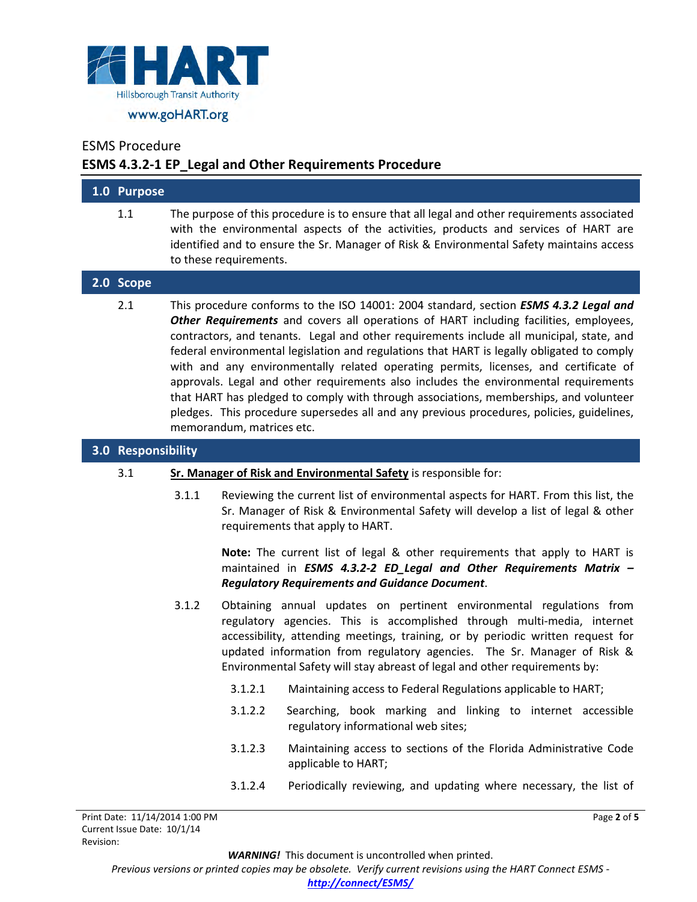

#### ESMS Procedure

## **ESMS 4.3.2-1 EP\_Legal and Other Requirements Procedure**

| 1.0 Purpose |                                                                                                                                                                                                                                                                                                                                                                                                                                                                                                                                                                                                                                                                                                                                                                                    |
|-------------|------------------------------------------------------------------------------------------------------------------------------------------------------------------------------------------------------------------------------------------------------------------------------------------------------------------------------------------------------------------------------------------------------------------------------------------------------------------------------------------------------------------------------------------------------------------------------------------------------------------------------------------------------------------------------------------------------------------------------------------------------------------------------------|
| 1.1         | The purpose of this procedure is to ensure that all legal and other requirements associated<br>with the environmental aspects of the activities, products and services of HART are<br>identified and to ensure the Sr. Manager of Risk & Environmental Safety maintains access<br>to these requirements.                                                                                                                                                                                                                                                                                                                                                                                                                                                                           |
| 2.0 Scope   |                                                                                                                                                                                                                                                                                                                                                                                                                                                                                                                                                                                                                                                                                                                                                                                    |
| 2.1         | This procedure conforms to the ISO 14001: 2004 standard, section <b>ESMS 4.3.2 Legal and</b><br>Other Requirements and covers all operations of HART including facilities, employees,<br>contractors, and tenants. Legal and other requirements include all municipal, state, and<br>federal environmental legislation and regulations that HART is legally obligated to comply<br>with and any environmentally related operating permits, licenses, and certificate of<br>approvals. Legal and other requirements also includes the environmental requirements<br>that HART has pledged to comply with through associations, memberships, and volunteer<br>pledges. This procedure supersedes all and any previous procedures, policies, guidelines,<br>memorandum, matrices etc. |

## **3.0 Responsibility**

#### 3.1 **Sr. Manager of Risk and Environmental Safety** is responsible for:

3.1.1 Reviewing the current list of environmental aspects for HART. From this list, the Sr. Manager of Risk & Environmental Safety will develop a list of legal & other requirements that apply to HART.

**Note:** The current list of legal & other requirements that apply to HART is maintained in *ESMS 4.3.2-2 ED\_Legal and Other Requirements Matrix – Regulatory Requirements and Guidance Document*.

- 3.1.2 Obtaining annual updates on pertinent environmental regulations from regulatory agencies. This is accomplished through multi-media, internet accessibility, attending meetings, training, or by periodic written request for updated information from regulatory agencies. The Sr. Manager of Risk & Environmental Safety will stay abreast of legal and other requirements by:
	- 3.1.2.1 Maintaining access to Federal Regulations applicable to HART;
	- 3.1.2.2 Searching, book marking and linking to internet accessible regulatory informational web sites;
	- 3.1.2.3 Maintaining access to sections of the Florida Administrative Code applicable to HART;
	- 3.1.2.4 Periodically reviewing, and updating where necessary, the list of

Page **2** of **5**

*WARNING!*This document is uncontrolled when printed.

*Previous versions or printed copies may be obsolete. Verify current revisions using the HART Connect ESMS -*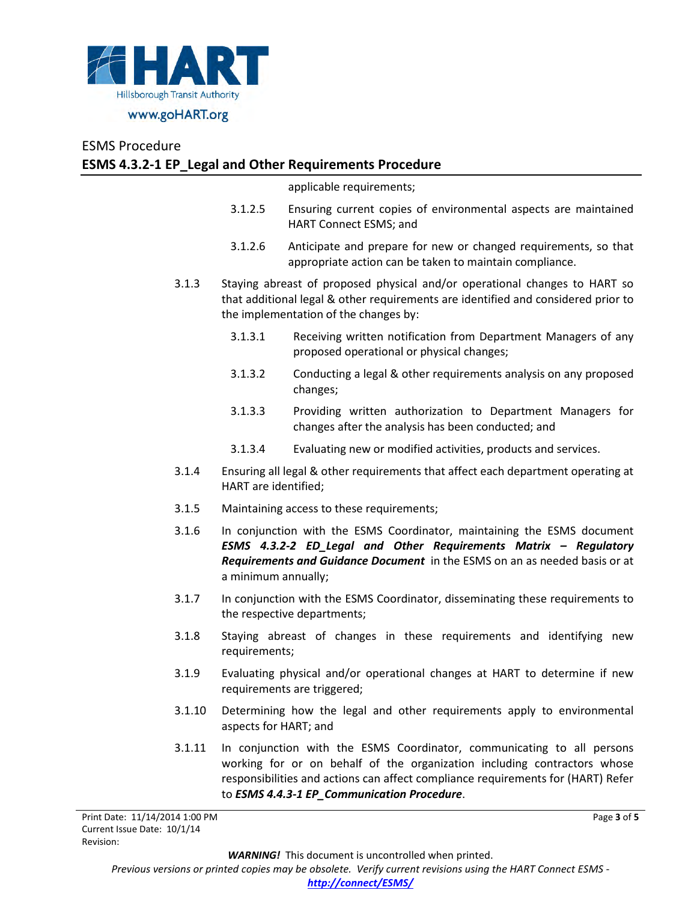

## ESMS Procedure **ESMS 4.3.2-1 EP\_Legal and Other Requirements Procedure**

applicable requirements;

- 3.1.2.5 Ensuring current copies of environmental aspects are maintained HART Connect ESMS; and
- 3.1.2.6 Anticipate and prepare for new or changed requirements, so that appropriate action can be taken to maintain compliance.
- 3.1.3 Staying abreast of proposed physical and/or operational changes to HART so that additional legal & other requirements are identified and considered prior to the implementation of the changes by:
	- 3.1.3.1 Receiving written notification from Department Managers of any proposed operational or physical changes;
	- 3.1.3.2 Conducting a legal & other requirements analysis on any proposed changes;
	- 3.1.3.3 Providing written authorization to Department Managers for changes after the analysis has been conducted; and
	- 3.1.3.4 Evaluating new or modified activities, products and services.
- 3.1.4 Ensuring all legal & other requirements that affect each department operating at HART are identified;
- 3.1.5 Maintaining access to these requirements;
- 3.1.6 In conjunction with the ESMS Coordinator, maintaining the ESMS document *ESMS 4.3.2-2 ED\_Legal and Other Requirements Matrix – Regulatory Requirements and Guidance Document* in the ESMS on an as needed basis or at a minimum annually;
- 3.1.7 In conjunction with the ESMS Coordinator, disseminating these requirements to the respective departments;
- 3.1.8 Staying abreast of changes in these requirements and identifying new requirements;
- 3.1.9 Evaluating physical and/or operational changes at HART to determine if new requirements are triggered;
- 3.1.10 Determining how the legal and other requirements apply to environmental aspects for HART; and
- 3.1.11 In conjunction with the ESMS Coordinator, communicating to all persons working for or on behalf of the organization including contractors whose responsibilities and actions can affect compliance requirements for (HART) Refer to *ESMS 4.4.3-1 EP\_Communication Procedure*.

*WARNING!*This document is uncontrolled when printed.

*Previous versions or printed copies may be obsolete. Verify current revisions using the HART Connect ESMS -*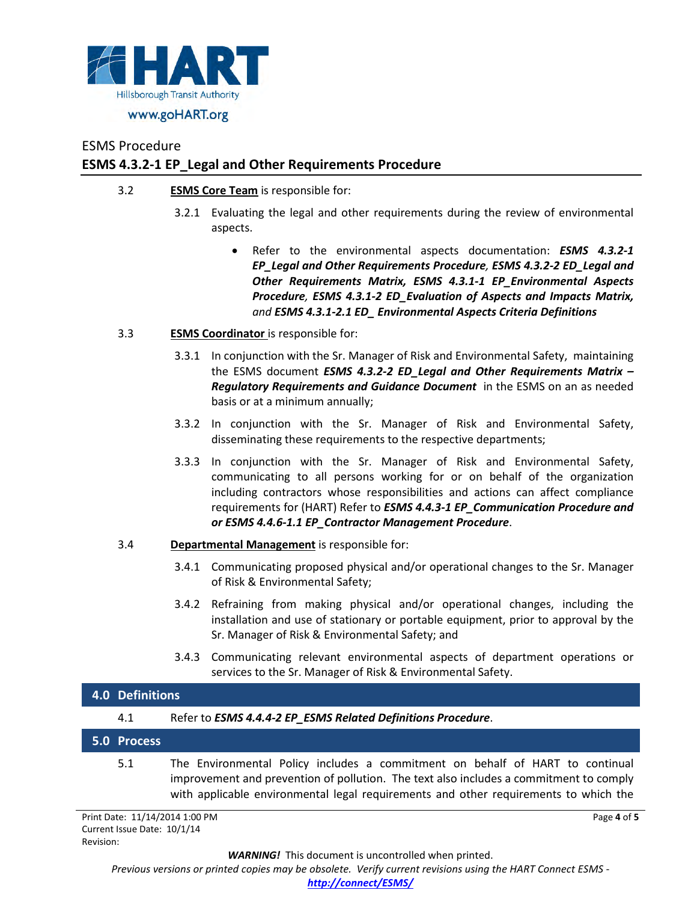

# ESMS Procedure **ESMS 4.3.2-1 EP\_Legal and Other Requirements Procedure**

- 3.2 **ESMS Core Team** is responsible for:
	- 3.2.1 Evaluating the legal and other requirements during the review of environmental aspects.
		- Refer to the environmental aspects documentation: *ESMS 4.3.2-1 EP\_Legal and Other Requirements Procedure, ESMS 4.3.2-2 ED\_Legal and Other Requirements Matrix, ESMS 4.3.1-1 EP\_Environmental Aspects Procedure, ESMS 4.3.1-2 ED\_Evaluation of Aspects and Impacts Matrix, and ESMS 4.3.1-2.1 ED\_ Environmental Aspects Criteria Definitions*
- 3.3 **ESMS Coordinator** is responsible for:
	- 3.3.1 In conjunction with the Sr. Manager of Risk and Environmental Safety, maintaining the ESMS document *ESMS 4.3.2-2 ED\_Legal and Other Requirements Matrix – Regulatory Requirements and Guidance Document* in the ESMS on an as needed basis or at a minimum annually;
	- 3.3.2 In conjunction with the Sr. Manager of Risk and Environmental Safety, disseminating these requirements to the respective departments;
	- 3.3.3 In conjunction with the Sr. Manager of Risk and Environmental Safety, communicating to all persons working for or on behalf of the organization including contractors whose responsibilities and actions can affect compliance requirements for (HART) Refer to *ESMS 4.4.3-1 EP\_Communication Procedure and or ESMS 4.4.6-1.1 EP\_Contractor Management Procedure*.
- 3.4 **Departmental Management** is responsible for:
	- 3.4.1 Communicating proposed physical and/or operational changes to the Sr. Manager of Risk & Environmental Safety;
	- 3.4.2 Refraining from making physical and/or operational changes, including the installation and use of stationary or portable equipment, prior to approval by the Sr. Manager of Risk & Environmental Safety; and
	- 3.4.3 Communicating relevant environmental aspects of department operations or services to the Sr. Manager of Risk & Environmental Safety.

with applicable environmental legal requirements and other requirements to which the

Page **4** of **5**

| 4.0 Definitions |             |                                                                                                                                                                         |  |  |
|-----------------|-------------|-------------------------------------------------------------------------------------------------------------------------------------------------------------------------|--|--|
|                 | 4.1         | Refer to ESMS 4.4.4-2 EP ESMS Related Definitions Procedure.                                                                                                            |  |  |
|                 | 5.0 Process |                                                                                                                                                                         |  |  |
|                 | 5.1         | The Environmental Policy includes a commitment on behalf of HART to continual<br>improvement and prevention of pollution. The text also includes a commitment to comply |  |  |

Print Date: 11/14/2014 1:00 PM Current Issue Date: 10/1/14 Revision:

*WARNING!*This document is uncontrolled when printed.

*Previous versions or printed copies may be obsolete. Verify current revisions using the HART Connect ESMS -* 

*[http://connect/ESMS/](http://connect/ESMS/default.aspx)*